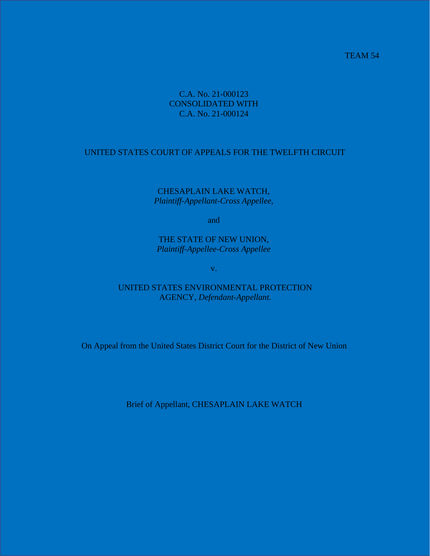## TEAM 54

## C.A. No. 21-000123 CONSOLIDATED WITH C.A. No. 21-000124

## UNITED STATES COURT OF APPEALS FOR THE TWELFTH CIRCUIT

CHESAPLAIN LAKE WATCH, *Plaintiff-Appellant-Cross Appellee,*

and

THE STATE OF NEW UNION, *Plaintiff-Appellee-Cross Appellee*

v.

UNITED STATES ENVIRONMENTAL PROTECTION AGENCY, *Defendant-Appellant.*

On Appeal from the United States District Court for the District of New Union

Brief of Appellant, CHESAPLAIN LAKE WATCH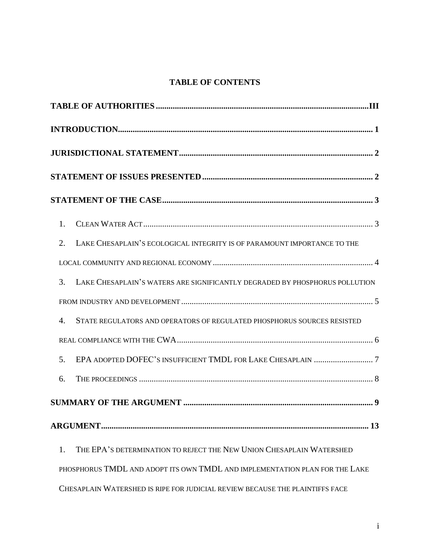# **TABLE OF CONTENTS**

| 1.             |                                                                              |  |  |  |
|----------------|------------------------------------------------------------------------------|--|--|--|
| 2.             | LAKE CHESAPLAIN'S ECOLOGICAL INTEGRITY IS OF PARAMOUNT IMPORTANCE TO THE     |  |  |  |
|                |                                                                              |  |  |  |
| 3.             | LAKE CHESAPLAIN'S WATERS ARE SIGNIFICANTLY DEGRADED BY PHOSPHORUS POLLUTION  |  |  |  |
|                |                                                                              |  |  |  |
| $\mathbf{4}$ . | STATE REGULATORS AND OPERATORS OF REGULATED PHOSPHORUS SOURCES RESISTED      |  |  |  |
|                |                                                                              |  |  |  |
| 5.             |                                                                              |  |  |  |
| 6.             |                                                                              |  |  |  |
|                |                                                                              |  |  |  |
|                |                                                                              |  |  |  |
| 1.             | THE EPA'S DETERMINATION TO REJECT THE NEW UNION CHESAPLAIN WATERSHED         |  |  |  |
|                | PHOSPHORUS TMDL AND ADOPT ITS OWN TMDL AND IMPLEMENTATION PLAN FOR THE LAKE  |  |  |  |
|                | CHESAPLAIN WATERSHED IS RIPE FOR JUDICIAL REVIEW BECAUSE THE PLAINTIFFS FACE |  |  |  |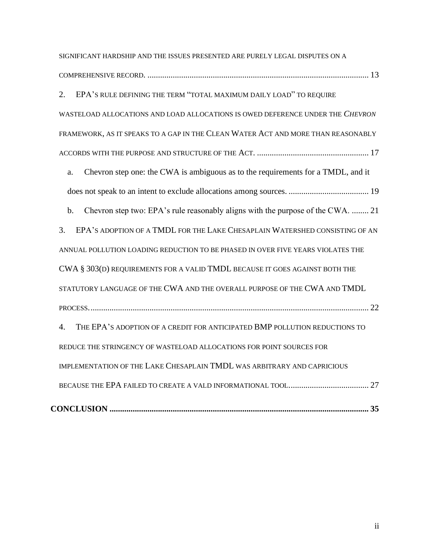| SIGNIFICANT HARDSHIP AND THE ISSUES PRESENTED ARE PURELY LEGAL DISPUTES ON A                        |  |  |  |
|-----------------------------------------------------------------------------------------------------|--|--|--|
|                                                                                                     |  |  |  |
| EPA'S RULE DEFINING THE TERM "TOTAL MAXIMUM DAILY LOAD" TO REQUIRE<br>2.                            |  |  |  |
| WASTELOAD ALLOCATIONS AND LOAD ALLOCATIONS IS OWED DEFERENCE UNDER THE CHEVRON                      |  |  |  |
| FRAMEWORK, AS IT SPEAKS TO A GAP IN THE CLEAN WATER ACT AND MORE THAN REASONABLY                    |  |  |  |
|                                                                                                     |  |  |  |
| Chevron step one: the CWA is ambiguous as to the requirements for a TMDL, and it<br>a.              |  |  |  |
|                                                                                                     |  |  |  |
| Chevron step two: EPA's rule reasonably aligns with the purpose of the CWA.  21<br>$b$ .            |  |  |  |
| EPA'S ADOPTION OF A TMDL FOR THE LAKE CHESAPLAIN WATERSHED CONSISTING OF AN<br>3.                   |  |  |  |
| ANNUAL POLLUTION LOADING REDUCTION TO BE PHASED IN OVER FIVE YEARS VIOLATES THE                     |  |  |  |
| CWA § 303(D) REQUIREMENTS FOR A VALID TMDL BECAUSE IT GOES AGAINST BOTH THE                         |  |  |  |
| STATUTORY LANGUAGE OF THE CWA AND THE OVERALL PURPOSE OF THE CWA AND TMDL                           |  |  |  |
|                                                                                                     |  |  |  |
| THE EPA'S ADOPTION OF A CREDIT FOR ANTICIPATED BMP POLLUTION REDUCTIONS TO<br>$\mathcal{A}_{\cdot}$ |  |  |  |
| REDUCE THE STRINGENCY OF WASTELOAD ALLOCATIONS FOR POINT SOURCES FOR                                |  |  |  |
| IMPLEMENTATION OF THE LAKE CHESAPLAIN TMDL WAS ARBITRARY AND CAPRICIOUS                             |  |  |  |
|                                                                                                     |  |  |  |
|                                                                                                     |  |  |  |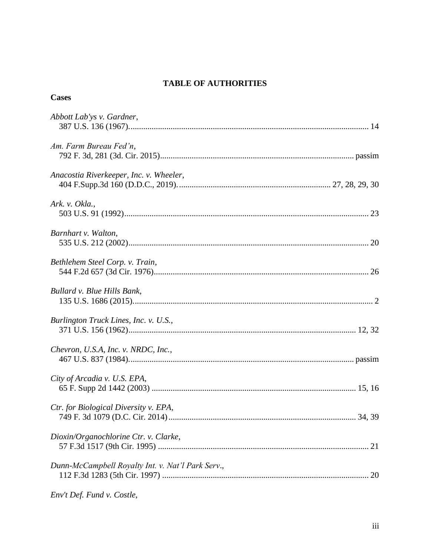# **TABLE OF AUTHORITIES**

| Abbott Lab'ys v. Gardner,                         |
|---------------------------------------------------|
| Am. Farm Bureau Fed'n,                            |
| Anacostia Riverkeeper, Inc. v. Wheeler,           |
| Ark. v. Okla.,                                    |
| Barnhart v. Walton,                               |
| Bethlehem Steel Corp. v. Train,                   |
| Bullard v. Blue Hills Bank,                       |
| Burlington Truck Lines, Inc. v. U.S.,             |
| Chevron, U.S.A, Inc. v. NRDC, Inc.,               |
| City of Arcadia v. U.S. EPA,                      |
| Ctr. for Biological Diversity v. EPA,             |
| Dioxin/Organochlorine Ctr. v. Clarke,<br>21       |
| Dunn-McCampbell Royalty Int. v. Nat'l Park Serv., |
|                                                   |

Env't Def. Fund v. Costle,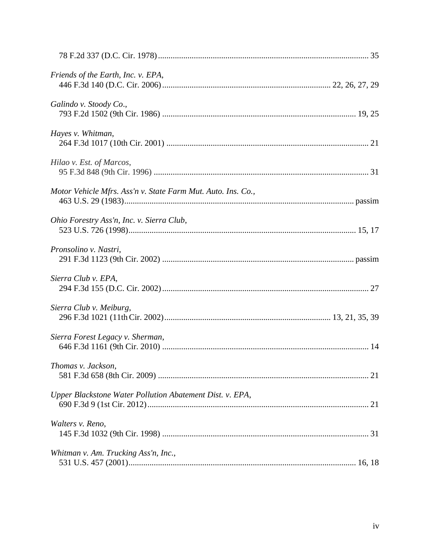| Friends of the Earth, Inc. v. EPA,                           |  |
|--------------------------------------------------------------|--|
| Galindo v. Stoody Co.,                                       |  |
| Hayes v. Whitman,                                            |  |
| Hilao v. Est. of Marcos,                                     |  |
| Motor Vehicle Mfrs. Ass'n v. State Farm Mut. Auto. Ins. Co., |  |
| Ohio Forestry Ass'n, Inc. v. Sierra Club,                    |  |
| Pronsolino v. Nastri,                                        |  |
| Sierra Club v. EPA,                                          |  |
| Sierra Club v. Meiburg,                                      |  |
| Sierra Forest Legacy v. Sherman,                             |  |
| Thomas v. Jackson,                                           |  |
| Upper Blackstone Water Pollution Abatement Dist. v. EPA,     |  |
| Walters v. Reno,                                             |  |
| Whitman v. Am. Trucking Ass'n, Inc.,                         |  |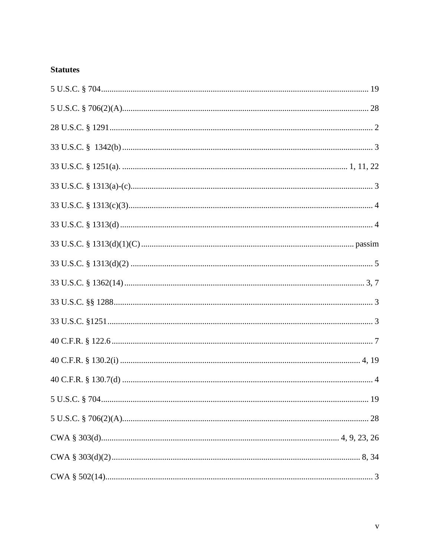# **Statutes**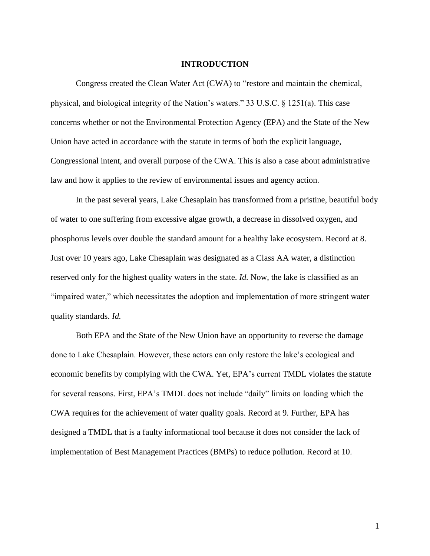#### **INTRODUCTION**

Congress created the Clean Water Act (CWA) to "restore and maintain the chemical, physical, and biological integrity of the Nation's waters." 33 U.S.C. § 1251(a). This case concerns whether or not the Environmental Protection Agency (EPA) and the State of the New Union have acted in accordance with the statute in terms of both the explicit language, Congressional intent, and overall purpose of the CWA. This is also a case about administrative law and how it applies to the review of environmental issues and agency action.

In the past several years, Lake Chesaplain has transformed from a pristine, beautiful body of water to one suffering from excessive algae growth, a decrease in dissolved oxygen, and phosphorus levels over double the standard amount for a healthy lake ecosystem. Record at 8. Just over 10 years ago, Lake Chesaplain was designated as a Class AA water, a distinction reserved only for the highest quality waters in the state. *Id.* Now, the lake is classified as an "impaired water," which necessitates the adoption and implementation of more stringent water quality standards. *Id.*

Both EPA and the State of the New Union have an opportunity to reverse the damage done to Lake Chesaplain. However, these actors can only restore the lake's ecological and economic benefits by complying with the CWA. Yet, EPA's current TMDL violates the statute for several reasons. First, EPA's TMDL does not include "daily" limits on loading which the CWA requires for the achievement of water quality goals. Record at 9. Further, EPA has designed a TMDL that is a faulty informational tool because it does not consider the lack of implementation of Best Management Practices (BMPs) to reduce pollution. Record at 10.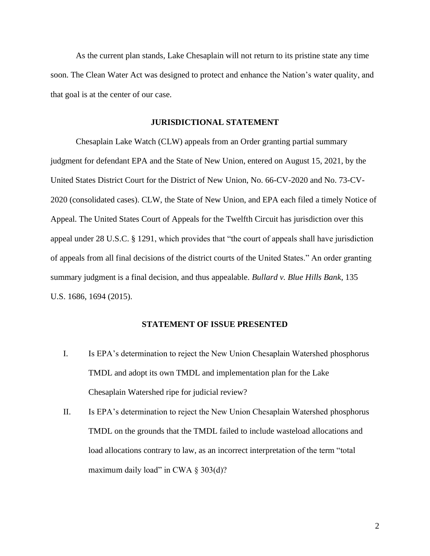As the current plan stands, Lake Chesaplain will not return to its pristine state any time soon. The Clean Water Act was designed to protect and enhance the Nation's water quality, and that goal is at the center of our case.

#### **JURISDICTIONAL STATEMENT**

Chesaplain Lake Watch (CLW) appeals from an Order granting partial summary judgment for defendant EPA and the State of New Union, entered on August 15, 2021, by the United States District Court for the District of New Union, No. 66-CV-2020 and No. 73-CV-2020 (consolidated cases). CLW, the State of New Union, and EPA each filed a timely Notice of Appeal. The United States Court of Appeals for the Twelfth Circuit has jurisdiction over this appeal under 28 U.S.C. § 1291, which provides that "the court of appeals shall have jurisdiction of appeals from all final decisions of the district courts of the United States." An order granting summary judgment is a final decision, and thus appealable. *Bullard v. Blue Hills Bank*, 135 U.S. 1686, 1694 (2015).

## **STATEMENT OF ISSUE PRESENTED**

- I. Is EPA's determination to reject the New Union Chesaplain Watershed phosphorus TMDL and adopt its own TMDL and implementation plan for the Lake Chesaplain Watershed ripe for judicial review?
- II. Is EPA's determination to reject the New Union Chesaplain Watershed phosphorus TMDL on the grounds that the TMDL failed to include wasteload allocations and load allocations contrary to law, as an incorrect interpretation of the term "total maximum daily load" in CWA  $\S 303(d)$ ?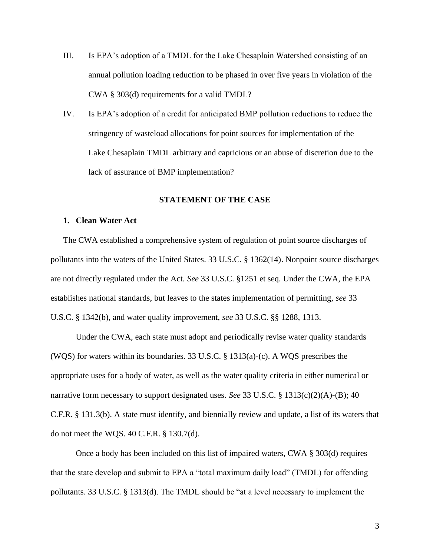- III. Is EPA's adoption of a TMDL for the Lake Chesaplain Watershed consisting of an annual pollution loading reduction to be phased in over five years in violation of the CWA § 303(d) requirements for a valid TMDL?
- IV. Is EPA's adoption of a credit for anticipated BMP pollution reductions to reduce the stringency of wasteload allocations for point sources for implementation of the Lake Chesaplain TMDL arbitrary and capricious or an abuse of discretion due to the lack of assurance of BMP implementation?

### **STATEMENT OF THE CASE**

### <span id="page-8-0"></span>**1. Clean Water Act**

The CWA established a comprehensive system of regulation of point source discharges of pollutants into the waters of the United States. 33 U.S.C. § 1362(14). Nonpoint source discharges are not directly regulated under the Act. *See* 33 U.S.C. §1251 et seq. Under the CWA, the EPA establishes national standards, but leaves to the states implementation of permitting, *see* 33 U.S.C. § 1342(b), and water quality improvement, *see* 33 U.S.C. §§ 1288, 1313.

Under the CWA, each state must adopt and periodically revise water quality standards (WQS) for waters within its boundaries. 33 U.S.C. § 1313(a)-(c). A WQS prescribes the appropriate uses for a body of water, as well as the water quality criteria in either numerical or narrative form necessary to support designated uses. *See* 33 U.S.C. § 1313(c)(2)(A)-(B); 40 C.F.R. § 131.3(b). A state must identify, and biennially review and update, a list of its waters that do not meet the WQS. 40 C.F.R. § 130.7(d).

Once a body has been included on this list of impaired waters, CWA § 303(d) requires that the state develop and submit to EPA a "total maximum daily load" (TMDL) for offending pollutants. 33 U.S.C. § 1313(d). The TMDL should be "at a level necessary to implement the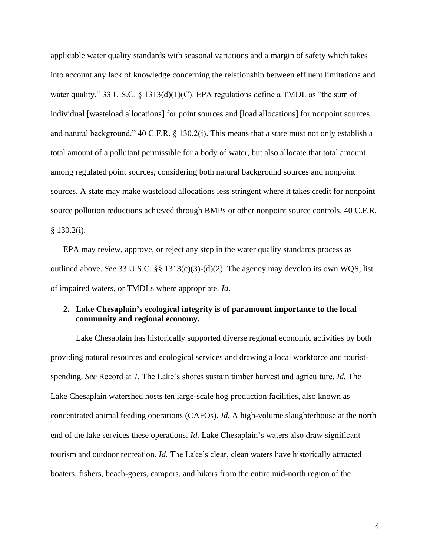applicable water quality standards with seasonal variations and a margin of safety which takes into account any lack of knowledge concerning the relationship between effluent limitations and water quality." 33 U.S.C. § 1313(d)(1)(C). EPA regulations define a TMDL as "the sum of individual [wasteload allocations] for point sources and [load allocations] for nonpoint sources and natural background." 40 C.F.R. § 130.2(i). This means that a state must not only establish a total amount of a pollutant permissible for a body of water, but also allocate that total amount among regulated point sources, considering both natural background sources and nonpoint sources. A state may make wasteload allocations less stringent where it takes credit for nonpoint source pollution reductions achieved through BMPs or other nonpoint source controls. 40 C.F.R. § 130.2(i).

EPA may review, approve, or reject any step in the water quality standards process as outlined above. *See* 33 U.S.C. §§ 1313(c)(3)-(d)(2). The agency may develop its own WQS, list of impaired waters, or TMDLs where appropriate. *Id*.

# <span id="page-9-0"></span>**2. Lake Chesaplain's ecological integrity is of paramount importance to the local community and regional economy.**

Lake Chesaplain has historically supported diverse regional economic activities by both providing natural resources and ecological services and drawing a local workforce and touristspending. *See* Record at 7. The Lake's shores sustain timber harvest and agriculture. *Id.* The Lake Chesaplain watershed hosts ten large-scale hog production facilities, also known as concentrated animal feeding operations (CAFOs). *Id.* A high-volume slaughterhouse at the north end of the lake services these operations. *Id.* Lake Chesaplain's waters also draw significant tourism and outdoor recreation. *Id.* The Lake's clear, clean waters have historically attracted boaters, fishers, beach-goers, campers, and hikers from the entire mid-north region of the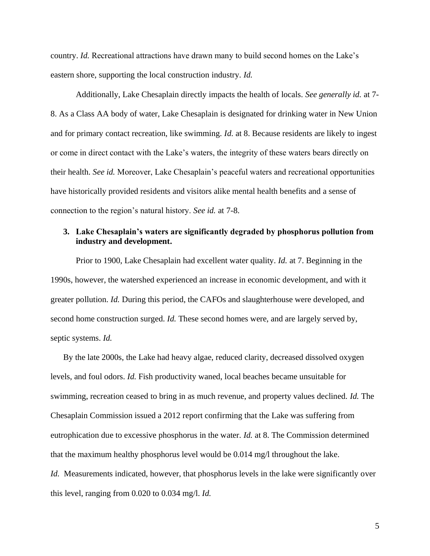country. *Id.* Recreational attractions have drawn many to build second homes on the Lake's eastern shore, supporting the local construction industry. *Id.*

Additionally, Lake Chesaplain directly impacts the health of locals. *See generally id.* at 7- 8. As a Class AA body of water, Lake Chesaplain is designated for drinking water in New Union and for primary contact recreation, like swimming. *Id.* at 8. Because residents are likely to ingest or come in direct contact with the Lake's waters, the integrity of these waters bears directly on their health. *See id.* Moreover, Lake Chesaplain's peaceful waters and recreational opportunities have historically provided residents and visitors alike mental health benefits and a sense of connection to the region's natural history. *See id.* at 7-8.

# <span id="page-10-0"></span>**3. Lake Chesaplain's waters are significantly degraded by phosphorus pollution from industry and development.**

Prior to 1900, Lake Chesaplain had excellent water quality. *Id.* at 7. Beginning in the 1990s, however, the watershed experienced an increase in economic development, and with it greater pollution. *Id.* During this period, the CAFOs and slaughterhouse were developed, and second home construction surged. *Id.* These second homes were, and are largely served by, septic systems. *Id.*

By the late 2000s, the Lake had heavy algae, reduced clarity, decreased dissolved oxygen levels, and foul odors. *Id.* Fish productivity waned, local beaches became unsuitable for swimming, recreation ceased to bring in as much revenue, and property values declined. *Id.* The Chesaplain Commission issued a 2012 report confirming that the Lake was suffering from eutrophication due to excessive phosphorus in the water. *Id.* at 8. The Commission determined that the maximum healthy phosphorus level would be 0.014 mg/l throughout the lake.

*Id.* Measurements indicated, however, that phosphorus levels in the lake were significantly over this level, ranging from 0.020 to 0.034 mg/l. *Id.*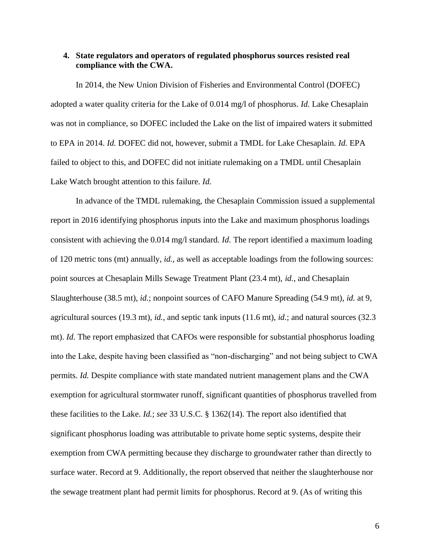## <span id="page-11-0"></span>**4. State regulators and operators of regulated phosphorus sources resisted real compliance with the CWA.**

In 2014, the New Union Division of Fisheries and Environmental Control (DOFEC) adopted a water quality criteria for the Lake of 0.014 mg/l of phosphorus. *Id.* Lake Chesaplain was not in compliance, so DOFEC included the Lake on the list of impaired waters it submitted to EPA in 2014. *Id.* DOFEC did not, however, submit a TMDL for Lake Chesaplain. *Id.* EPA failed to object to this, and DOFEC did not initiate rulemaking on a TMDL until Chesaplain Lake Watch brought attention to this failure. *Id.*

In advance of the TMDL rulemaking, the Chesaplain Commission issued a supplemental report in 2016 identifying phosphorus inputs into the Lake and maximum phosphorus loadings consistent with achieving the 0.014 mg/l standard. *Id.* The report identified a maximum loading of 120 metric tons (mt) annually, *id.*, as well as acceptable loadings from the following sources: point sources at Chesaplain Mills Sewage Treatment Plant (23.4 mt), *id.*, and Chesaplain Slaughterhouse (38.5 mt), *id.*; nonpoint sources of CAFO Manure Spreading (54.9 mt), *id.* at 9, agricultural sources (19.3 mt), *id.*, and septic tank inputs (11.6 mt), *id.*; and natural sources (32.3 mt). *Id.* The report emphasized that CAFOs were responsible for substantial phosphorus loading into the Lake, despite having been classified as "non-discharging" and not being subject to CWA permits. *Id.* Despite compliance with state mandated nutrient management plans and the CWA exemption for agricultural stormwater runoff, significant quantities of phosphorus travelled from these facilities to the Lake. *Id.*; *see* 33 U.S.C. § 1362(14). The report also identified that significant phosphorus loading was attributable to private home septic systems, despite their exemption from CWA permitting because they discharge to groundwater rather than directly to surface water. Record at 9. Additionally, the report observed that neither the slaughterhouse nor the sewage treatment plant had permit limits for phosphorus. Record at 9. (As of writing this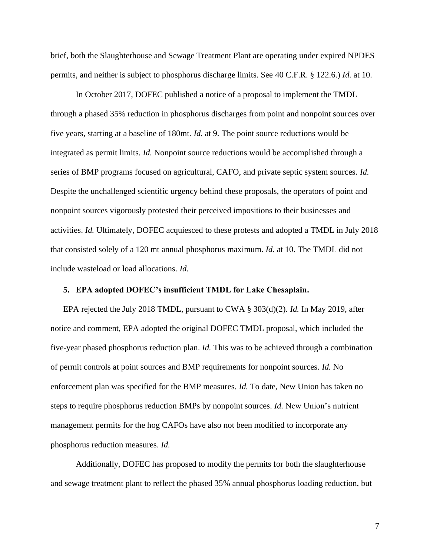brief, both the Slaughterhouse and Sewage Treatment Plant are operating under expired NPDES permits, and neither is subject to phosphorus discharge limits. See 40 C.F.R. § 122.6.) *Id.* at 10.

In October 2017, DOFEC published a notice of a proposal to implement the TMDL through a phased 35% reduction in phosphorus discharges from point and nonpoint sources over five years, starting at a baseline of 180mt. *Id.* at 9. The point source reductions would be integrated as permit limits. *Id.* Nonpoint source reductions would be accomplished through a series of BMP programs focused on agricultural, CAFO, and private septic system sources. *Id.* Despite the unchallenged scientific urgency behind these proposals, the operators of point and nonpoint sources vigorously protested their perceived impositions to their businesses and activities. *Id.* Ultimately, DOFEC acquiesced to these protests and adopted a TMDL in July 2018 that consisted solely of a 120 mt annual phosphorus maximum. *Id.* at 10. The TMDL did not include wasteload or load allocations. *Id.*

## <span id="page-12-0"></span>**5. EPA adopted DOFEC's insufficient TMDL for Lake Chesaplain.**

EPA rejected the July 2018 TMDL, pursuant to CWA § 303(d)(2). *Id.* In May 2019, after notice and comment, EPA adopted the original DOFEC TMDL proposal, which included the five-year phased phosphorus reduction plan. *Id.* This was to be achieved through a combination of permit controls at point sources and BMP requirements for nonpoint sources. *Id.* No enforcement plan was specified for the BMP measures. *Id.* To date, New Union has taken no steps to require phosphorus reduction BMPs by nonpoint sources. *Id.* New Union's nutrient management permits for the hog CAFOs have also not been modified to incorporate any phosphorus reduction measures. *Id.*

Additionally, DOFEC has proposed to modify the permits for both the slaughterhouse and sewage treatment plant to reflect the phased 35% annual phosphorus loading reduction, but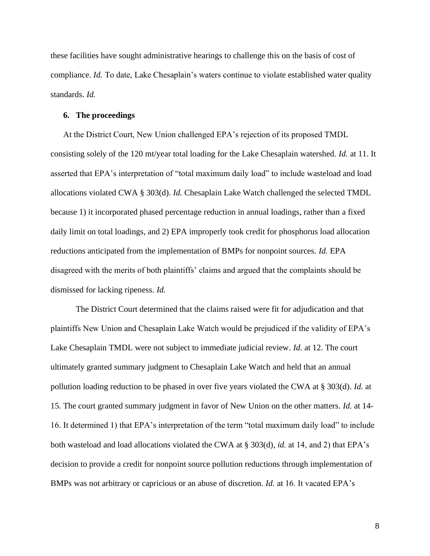these facilities have sought administrative hearings to challenge this on the basis of cost of compliance. *Id.* To date, Lake Chesaplain's waters continue to violate established water quality standards. *Id.*

#### <span id="page-13-0"></span>**6. The proceedings**

At the District Court, New Union challenged EPA's rejection of its proposed TMDL consisting solely of the 120 mt/year total loading for the Lake Chesaplain watershed. *Id.* at 11. It asserted that EPA's interpretation of "total maximum daily load" to include wasteload and load allocations violated CWA § 303(d). *Id.* Chesaplain Lake Watch challenged the selected TMDL because 1) it incorporated phased percentage reduction in annual loadings, rather than a fixed daily limit on total loadings, and 2) EPA improperly took credit for phosphorus load allocation reductions anticipated from the implementation of BMPs for nonpoint sources. *Id.* EPA disagreed with the merits of both plaintiffs' claims and argued that the complaints should be dismissed for lacking ripeness. *Id.*

The District Court determined that the claims raised were fit for adjudication and that plaintiffs New Union and Chesaplain Lake Watch would be prejudiced if the validity of EPA's Lake Chesaplain TMDL were not subject to immediate judicial review. *Id.* at 12. The court ultimately granted summary judgment to Chesaplain Lake Watch and held that an annual pollution loading reduction to be phased in over five years violated the CWA at § 303(d). *Id.* at 15. The court granted summary judgment in favor of New Union on the other matters. *Id.* at 14- 16. It determined 1) that EPA's interpretation of the term "total maximum daily load" to include both wasteload and load allocations violated the CWA at § 303(d), *id.* at 14, and 2) that EPA's decision to provide a credit for nonpoint source pollution reductions through implementation of BMPs was not arbitrary or capricious or an abuse of discretion. *Id.* at 16. It vacated EPA's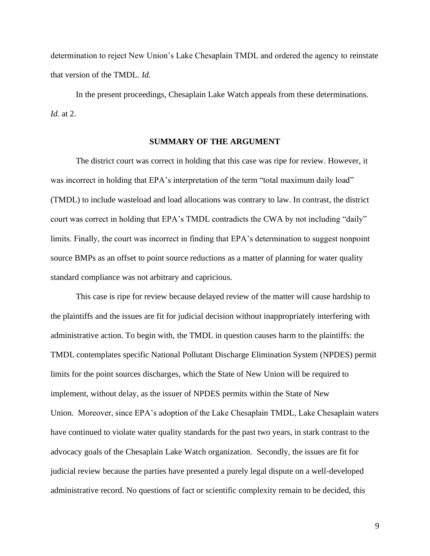determination to reject New Union's Lake Chesaplain TMDL and ordered the agency to reinstate that version of the TMDL. *Id.*

In the present proceedings, Chesaplain Lake Watch appeals from these determinations. *Id.* at 2.

### **SUMMARY OF THE ARGUMENT**

The district court was correct in holding that this case was ripe for review. However, it was incorrect in holding that EPA's interpretation of the term "total maximum daily load" (TMDL) to include wasteload and load allocations was contrary to law. In contrast, the district court was correct in holding that EPA's TMDL contradicts the CWA by not including "daily" limits. Finally, the court was incorrect in finding that EPA's determination to suggest nonpoint source BMPs as an offset to point source reductions as a matter of planning for water quality standard compliance was not arbitrary and capricious.

This case is ripe for review because delayed review of the matter will cause hardship to the plaintiffs and the issues are fit for judicial decision without inappropriately interfering with administrative action. To begin with, the TMDL in question causes harm to the plaintiffs: the TMDL contemplates specific National Pollutant Discharge Elimination System (NPDES) permit limits for the point sources discharges, which the State of New Union will be required to implement, without delay, as the issuer of NPDES permits within the State of New Union. Moreover, since EPA's adoption of the Lake Chesaplain TMDL, Lake Chesaplain waters have continued to violate water quality standards for the past two years, in stark contrast to the advocacy goals of the Chesaplain Lake Watch organization. Secondly, the issues are fit for judicial review because the parties have presented a purely legal dispute on a well-developed administrative record. No questions of fact or scientific complexity remain to be decided, this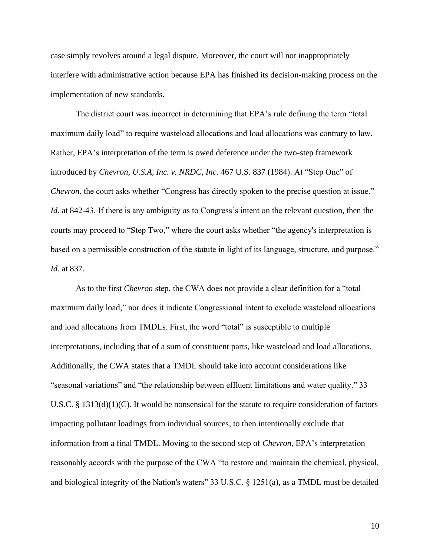case simply revolves around a legal dispute. Moreover, the court will not inappropriately interfere with administrative action because EPA has finished its decision-making process on the implementation of new standards.

The district court was incorrect in determining that EPA's rule defining the term "total maximum daily load" to require wasteload allocations and load allocations was contrary to law. Rather, EPA's interpretation of the term is owed deference under the two-step framework introduced by *Chevron, U.S.A, Inc. v. NRDC, Inc.* 467 U.S. 837 (1984). At "Step One" of *Chevron*, the court asks whether "Congress has directly spoken to the precise question at issue." *Id.* at 842-43. If there is any ambiguity as to Congress's intent on the relevant question, then the courts may proceed to "Step Two," where the court asks whether "the agency's interpretation is based on a permissible construction of the statute in light of its language, structure, and purpose." *Id.* at 837.

As to the first *Chevron* step, the CWA does not provide a clear definition for a "total maximum daily load," nor does it indicate Congressional intent to exclude wasteload allocations and load allocations from TMDLs. First, the word "total" is susceptible to multiple interpretations, including that of a sum of constituent parts, like wasteload and load allocations. Additionally, the CWA states that a TMDL should take into account considerations like "seasonal variations" and "the relationship between effluent limitations and water quality." 33 U.S.C. § 1313(d)(1)(C). It would be nonsensical for the statute to require consideration of factors impacting pollutant loadings from individual sources, to then intentionally exclude that information from a final TMDL. Moving to the second step of *Chevron*, EPA's interpretation reasonably accords with the purpose of the CWA "to restore and maintain the chemical, physical, and biological integrity of the Nation's waters" 33 U.S.C. § 1251(a), as a TMDL must be detailed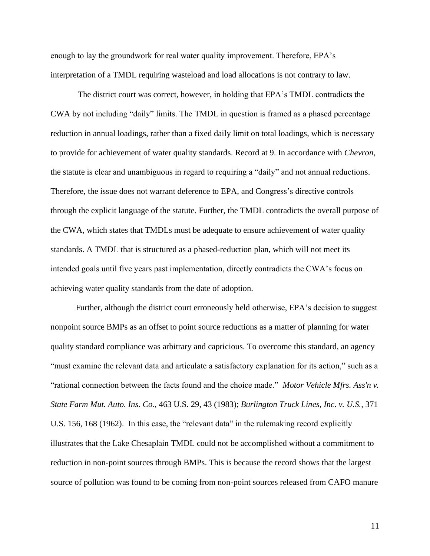enough to lay the groundwork for real water quality improvement. Therefore, EPA's interpretation of a TMDL requiring wasteload and load allocations is not contrary to law.

The district court was correct, however, in holding that EPA's TMDL contradicts the CWA by not including "daily" limits. The TMDL in question is framed as a phased percentage reduction in annual loadings, rather than a fixed daily limit on total loadings, which is necessary to provide for achievement of water quality standards. Record at 9. In accordance with *Chevron*, the statute is clear and unambiguous in regard to requiring a "daily" and not annual reductions. Therefore, the issue does not warrant deference to EPA, and Congress's directive controls through the explicit language of the statute. Further, the TMDL contradicts the overall purpose of the CWA, which states that TMDLs must be adequate to ensure achievement of water quality standards. A TMDL that is structured as a phased-reduction plan, which will not meet its intended goals until five years past implementation, directly contradicts the CWA's focus on achieving water quality standards from the date of adoption.

Further, although the district court erroneously held otherwise, EPA's decision to suggest nonpoint source BMPs as an offset to point source reductions as a matter of planning for water quality standard compliance was arbitrary and capricious. To overcome this standard, an agency "must examine the relevant data and articulate a satisfactory explanation for its action," such as a "rational connection between the facts found and the choice made." *Motor Vehicle Mfrs. Ass'n v. State Farm Mut. Auto. Ins. Co.,* 463 U.S. 29, 43 (1983); *Burlington Truck Lines, Inc*. *v. U.S.,* 371 U.S. 156, 168 (1962). In this case, the "relevant data" in the rulemaking record explicitly illustrates that the Lake Chesaplain TMDL could not be accomplished without a commitment to reduction in non-point sources through BMPs. This is because the record shows that the largest source of pollution was found to be coming from non-point sources released from CAFO manure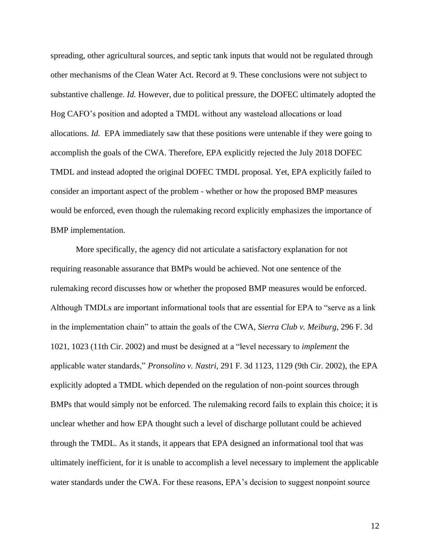spreading, other agricultural sources, and septic tank inputs that would not be regulated through other mechanisms of the Clean Water Act. Record at 9. These conclusions were not subject to substantive challenge. *Id.* However, due to political pressure, the DOFEC ultimately adopted the Hog CAFO's position and adopted a TMDL without any wasteload allocations or load allocations. *Id.* EPA immediately saw that these positions were untenable if they were going to accomplish the goals of the CWA. Therefore, EPA explicitly rejected the July 2018 DOFEC TMDL and instead adopted the original DOFEC TMDL proposal. Yet, EPA explicitly failed to consider an important aspect of the problem - whether or how the proposed BMP measures would be enforced, even though the rulemaking record explicitly emphasizes the importance of BMP implementation.

More specifically, the agency did not articulate a satisfactory explanation for not requiring reasonable assurance that BMPs would be achieved. Not one sentence of the rulemaking record discusses how or whether the proposed BMP measures would be enforced. Although TMDLs are important informational tools that are essential for EPA to "serve as a link in the implementation chain" to attain the goals of the CWA, *Sierra Club v. Meiburg*, 296 F. 3d 1021, 1023 (11th Cir. 2002) and must be designed at a "level necessary to *implement* the applicable water standards," *Pronsolino v. Nastri*, 291 F. 3d 1123, 1129 (9th Cir. 2002), the EPA explicitly adopted a TMDL which depended on the regulation of non-point sources through BMPs that would simply not be enforced. The rulemaking record fails to explain this choice; it is unclear whether and how EPA thought such a level of discharge pollutant could be achieved through the TMDL. As it stands, it appears that EPA designed an informational tool that was ultimately inefficient, for it is unable to accomplish a level necessary to implement the applicable water standards under the CWA. For these reasons, EPA's decision to suggest nonpoint source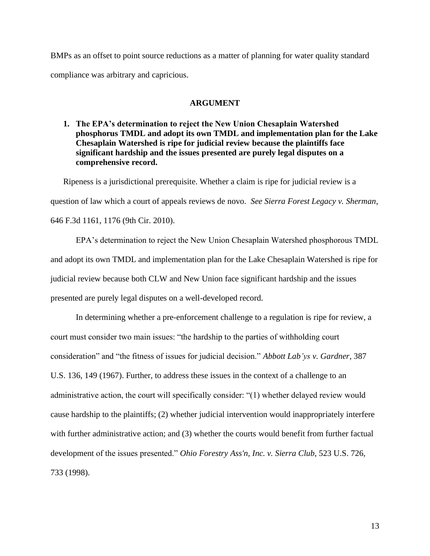BMPs as an offset to point source reductions as a matter of planning for water quality standard compliance was arbitrary and capricious.

## **ARGUMENT**

<span id="page-18-0"></span>**1. The EPA's determination to reject the New Union Chesaplain Watershed phosphorus TMDL and adopt its own TMDL and implementation plan for the Lake Chesaplain Watershed is ripe for judicial review because the plaintiffs face significant hardship and the issues presented are purely legal disputes on a comprehensive record.**

Ripeness is a jurisdictional prerequisite. Whether a claim is ripe for judicial review is a question of law which a court of appeals reviews de novo. *See Sierra Forest Legacy v. Sherman*, 646 F.3d 1161, 1176 (9th Cir. 2010).

EPA's determination to reject the New Union Chesaplain Watershed phosphorous TMDL and adopt its own TMDL and implementation plan for the Lake Chesaplain Watershed is ripe for judicial review because both CLW and New Union face significant hardship and the issues presented are purely legal disputes on a well-developed record.

In determining whether a pre-enforcement challenge to a regulation is ripe for review, a court must consider two main issues: "the hardship to the parties of withholding court consideration" and "the fitness of issues for judicial decision." *Abbott Lab'ys v. Gardner*, 387 U.S. 136, 149 (1967). Further, to address these issues in the context of a challenge to an administrative action, the court will specifically consider: "(1) whether delayed review would cause hardship to the plaintiffs; (2) whether judicial intervention would inappropriately interfere with further administrative action; and (3) whether the courts would benefit from further factual development of the issues presented." *Ohio Forestry Ass'n, Inc. v. Sierra Club*, 523 U.S. 726, 733 (1998).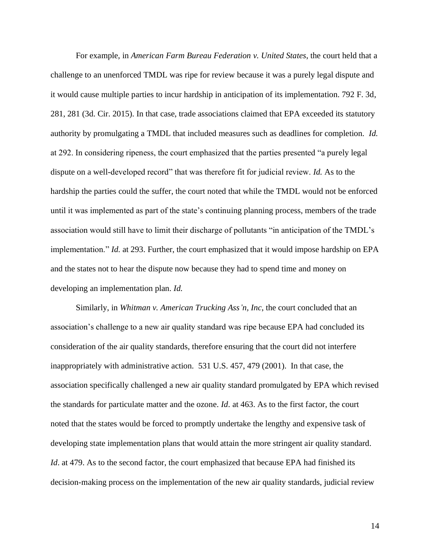For example, in *American Farm Bureau Federation v. United States*, the court held that a challenge to an unenforced TMDL was ripe for review because it was a purely legal dispute and it would cause multiple parties to incur hardship in anticipation of its implementation. 792 F. 3d, 281, 281 (3d. Cir. 2015). In that case, trade associations claimed that EPA exceeded its statutory authority by promulgating a TMDL that included measures such as deadlines for completion. *Id.* at 292. In considering ripeness, the court emphasized that the parties presented "a purely legal dispute on a well-developed record" that was therefore fit for judicial review. *Id.* As to the hardship the parties could the suffer, the court noted that while the TMDL would not be enforced until it was implemented as part of the state's continuing planning process, members of the trade association would still have to limit their discharge of pollutants "in anticipation of the TMDL's implementation." *Id.* at 293. Further, the court emphasized that it would impose hardship on EPA and the states not to hear the dispute now because they had to spend time and money on developing an implementation plan. *Id.*

Similarly, in *Whitman v. American Trucking Ass'n, Inc*, the court concluded that an association's challenge to a new air quality standard was ripe because EPA had concluded its consideration of the air quality standards, therefore ensuring that the court did not interfere inappropriately with administrative action. 531 U.S. 457, 479 (2001). In that case, the association specifically challenged a new air quality standard promulgated by EPA which revised the standards for particulate matter and the ozone. *Id.* at 463. As to the first factor, the court noted that the states would be forced to promptly undertake the lengthy and expensive task of developing state implementation plans that would attain the more stringent air quality standard. *Id*. at 479. As to the second factor, the court emphasized that because EPA had finished its decision-making process on the implementation of the new air quality standards, judicial review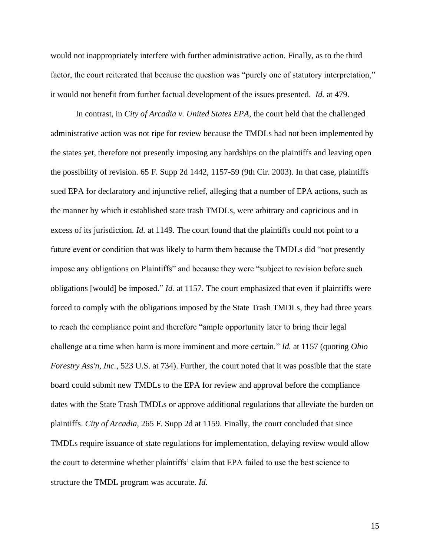would not inappropriately interfere with further administrative action. Finally, as to the third factor, the court reiterated that because the question was "purely one of statutory interpretation," it would not benefit from further factual development of the issues presented*. Id.* at 479.

In contrast, in *City of Arcadia v. United States EPA*, the court held that the challenged administrative action was not ripe for review because the TMDLs had not been implemented by the states yet, therefore not presently imposing any hardships on the plaintiffs and leaving open the possibility of revision. 65 F. Supp 2d 1442, 1157-59 (9th Cir. 2003). In that case, plaintiffs sued EPA for declaratory and injunctive relief, alleging that a number of EPA actions, such as the manner by which it established state trash TMDLs, were arbitrary and capricious and in excess of its jurisdiction. *Id.* at 1149. The court found that the plaintiffs could not point to a future event or condition that was likely to harm them because the TMDLs did "not presently impose any obligations on Plaintiffs" and because they were "subject to revision before such obligations [would] be imposed." *Id.* at 1157. The court emphasized that even if plaintiffs were forced to comply with the obligations imposed by the State Trash TMDLs, they had three years to reach the compliance point and therefore "ample opportunity later to bring their legal challenge at a time when harm is more imminent and more certain." *Id.* at 1157 (quoting *Ohio Forestry Ass'n, Inc.,* 523 U.S. at 734). Further, the court noted that it was possible that the state board could submit new TMDLs to the EPA for review and approval before the compliance dates with the State Trash TMDLs or approve additional regulations that alleviate the burden on plaintiffs. *City of Arcadia,* 265 F. Supp 2d at 1159. Finally, the court concluded that since TMDLs require issuance of state regulations for implementation, delaying review would allow the court to determine whether plaintiffs' claim that EPA failed to use the best science to structure the TMDL program was accurate. *Id.*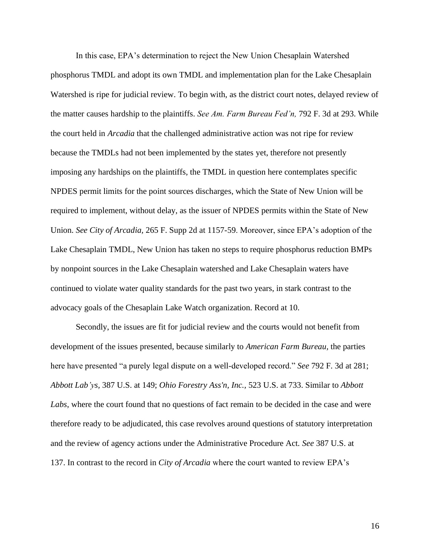In this case, EPA's determination to reject the New Union Chesaplain Watershed phosphorus TMDL and adopt its own TMDL and implementation plan for the Lake Chesaplain Watershed is ripe for judicial review. To begin with, as the district court notes, delayed review of the matter causes hardship to the plaintiffs. *See Am. Farm Bureau Fed'n,* 792 F. 3d at 293. While the court held in *Arcadia* that the challenged administrative action was not ripe for review because the TMDLs had not been implemented by the states yet, therefore not presently imposing any hardships on the plaintiffs, the TMDL in question here contemplates specific NPDES permit limits for the point sources discharges, which the State of New Union will be required to implement, without delay, as the issuer of NPDES permits within the State of New Union. *See City of Arcadia,* 265 F. Supp 2d at 1157-59. Moreover, since EPA's adoption of the Lake Chesaplain TMDL, New Union has taken no steps to require phosphorus reduction BMPs by nonpoint sources in the Lake Chesaplain watershed and Lake Chesaplain waters have continued to violate water quality standards for the past two years, in stark contrast to the advocacy goals of the Chesaplain Lake Watch organization. Record at 10.

Secondly, the issues are fit for judicial review and the courts would not benefit from development of the issues presented, because similarly to *American Farm Bureau,* the parties here have presented "a purely legal dispute on a well-developed record." *See* 792 F. 3d at 281; *Abbott Lab'ys,* 387 U.S. at 149; *Ohio Forestry Ass'n, Inc.,* 523 U.S. at 733. Similar to *Abbott Labs*, where the court found that no questions of fact remain to be decided in the case and were therefore ready to be adjudicated, this case revolves around questions of statutory interpretation and the review of agency actions under the Administrative Procedure Act. *See* 387 U.S. at 137. In contrast to the record in *City of Arcadia* where the court wanted to review EPA's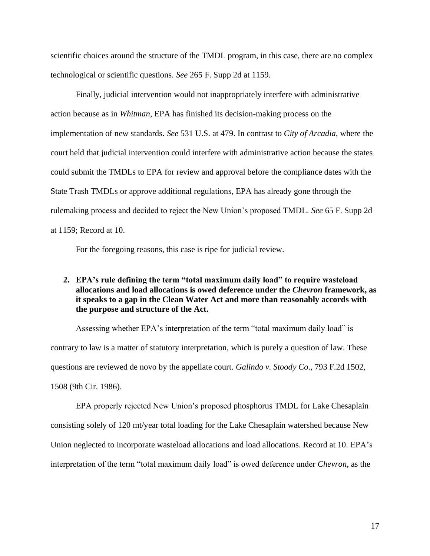scientific choices around the structure of the TMDL program, in this case, there are no complex technological or scientific questions. *See* 265 F. Supp 2d at 1159.

Finally, judicial intervention would not inappropriately interfere with administrative action because as in *Whitman*, EPA has finished its decision-making process on the implementation of new standards. *See* 531 U.S. at 479. In contrast to *City of Arcadia*, where the court held that judicial intervention could interfere with administrative action because the states could submit the TMDLs to EPA for review and approval before the compliance dates with the State Trash TMDLs or approve additional regulations, EPA has already gone through the rulemaking process and decided to reject the New Union's proposed TMDL. *See* 65 F. Supp 2d at 1159; Record at 10.

For the foregoing reasons, this case is ripe for judicial review.

# <span id="page-22-0"></span>**2. EPA's rule defining the term "total maximum daily load" to require wasteload allocations and load allocations is owed deference under the** *Chevron* **framework, as it speaks to a gap in the Clean Water Act and more than reasonably accords with the purpose and structure of the Act.**

Assessing whether EPA's interpretation of the term "total maximum daily load" is contrary to law is a matter of statutory interpretation, which is purely a question of law. These questions are reviewed de novo by the appellate court. *Galindo v. Stoody Co*., 793 F.2d 1502, 1508 (9th Cir. 1986).

EPA properly rejected New Union's proposed phosphorus TMDL for Lake Chesaplain consisting solely of 120 mt/year total loading for the Lake Chesaplain watershed because New Union neglected to incorporate wasteload allocations and load allocations. Record at 10. EPA's interpretation of the term "total maximum daily load" is owed deference under *Chevron*, as the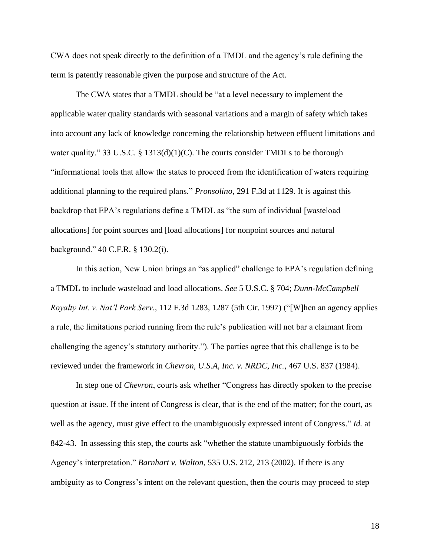CWA does not speak directly to the definition of a TMDL and the agency's rule defining the term is patently reasonable given the purpose and structure of the Act.

The CWA states that a TMDL should be "at a level necessary to implement the applicable water quality standards with seasonal variations and a margin of safety which takes into account any lack of knowledge concerning the relationship between effluent limitations and water quality." 33 U.S.C. § 1313(d)(1)(C). The courts consider TMDLs to be thorough "informational tools that allow the states to proceed from the identification of waters requiring additional planning to the required plans." *Pronsolino,* 291 F.3d at 1129. It is against this backdrop that EPA's regulations define a TMDL as "the sum of individual [wasteload allocations] for point sources and [load allocations] for nonpoint sources and natural background." 40 C.F.R. § 130.2(i).

In this action, New Union brings an "as applied" challenge to EPA's regulation defining a TMDL to include wasteload and load allocations. *See* 5 U.S.C. § 704; *Dunn-McCampbell Royalty Int. v. Nat'l Park Serv*., 112 F.3d 1283, 1287 (5th Cir. 1997) ("[W]hen an agency applies a rule, the limitations period running from the rule's publication will not bar a claimant from challenging the agency's statutory authority."). The parties agree that this challenge is to be reviewed under the framework in *Chevron, U.S.A, Inc. v. NRDC, Inc.*, 467 U.S. 837 (1984).

In step one of *Chevron*, courts ask whether "Congress has directly spoken to the precise question at issue. If the intent of Congress is clear, that is the end of the matter; for the court, as well as the agency, must give effect to the unambiguously expressed intent of Congress." *Id.* at 842-43. In assessing this step, the courts ask "whether the statute unambiguously forbids the Agency's interpretation." *Barnhart v. Walton*, 535 U.S. 212, 213 (2002). If there is any ambiguity as to Congress's intent on the relevant question, then the courts may proceed to step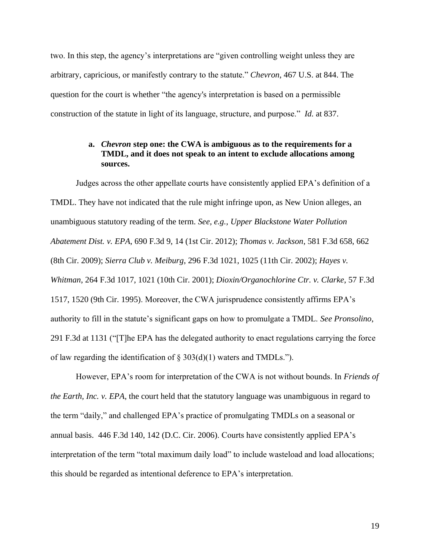two. In this step, the agency's interpretations are "given controlling weight unless they are arbitrary, capricious, or manifestly contrary to the statute." *Chevron*, 467 U.S. at 844. The question for the court is whether "the agency's interpretation is based on a permissible construction of the statute in light of its language, structure, and purpose." *Id.* at 837.

## <span id="page-24-0"></span>**a.** *Chevron* **step one: the CWA is ambiguous as to the requirements for a TMDL, and it does not speak to an intent to exclude allocations among sources.**

Judges across the other appellate courts have consistently applied EPA's definition of a TMDL. They have not indicated that the rule might infringe upon, as New Union alleges, an unambiguous statutory reading of the term. *See, e.g., Upper Blackstone Water Pollution Abatement Dist. v. EPA*, 690 F.3d 9, 14 (1st Cir. 2012); *Thomas v. Jackson*, 581 F.3d 658, 662 (8th Cir. 2009); *Sierra Club v. Meiburg*, 296 F.3d 1021, 1025 (11th Cir. 2002); *Hayes v. Whitman*, 264 F.3d 1017, 1021 (10th Cir. 2001); *Dioxin/Organochlorine Ctr. v. Clarke*, 57 F.3d 1517, 1520 (9th Cir. 1995). Moreover, the CWA jurisprudence consistently affirms EPA's authority to fill in the statute's significant gaps on how to promulgate a TMDL. *See Pronsolino*, 291 F.3d at 1131 ("[T]he EPA has the delegated authority to enact regulations carrying the force of law regarding the identification of  $\S 303(d)(1)$  waters and TMDLs.").

However, EPA's room for interpretation of the CWA is not without bounds. In *Friends of the Earth, Inc. v. EPA*, the court held that the statutory language was unambiguous in regard to the term "daily," and challenged EPA's practice of promulgating TMDLs on a seasonal or annual basis. 446 F.3d 140, 142 (D.C. Cir. 2006). Courts have consistently applied EPA's interpretation of the term "total maximum daily load" to include wasteload and load allocations; this should be regarded as intentional deference to EPA's interpretation.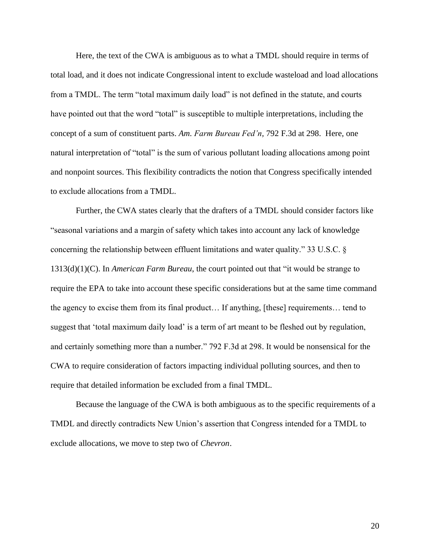Here, the text of the CWA is ambiguous as to what a TMDL should require in terms of total load, and it does not indicate Congressional intent to exclude wasteload and load allocations from a TMDL. The term "total maximum daily load" is not defined in the statute, and courts have pointed out that the word "total" is susceptible to multiple interpretations, including the concept of a sum of constituent parts. *Am. Farm Bureau Fed'n,* 792 F.3d at 298. Here, one natural interpretation of "total" is the sum of various pollutant loading allocations among point and nonpoint sources. This flexibility contradicts the notion that Congress specifically intended to exclude allocations from a TMDL.

Further, the CWA states clearly that the drafters of a TMDL should consider factors like "seasonal variations and a margin of safety which takes into account any lack of knowledge concerning the relationship between effluent limitations and water quality." 33 U.S.C. § 1313(d)(1)(C). In *American Farm Bureau*, the court pointed out that "it would be strange to require the EPA to take into account these specific considerations but at the same time command the agency to excise them from its final product… If anything, [these] requirements… tend to suggest that 'total maximum daily load' is a term of art meant to be fleshed out by regulation, and certainly something more than a number." 792 F.3d at 298. It would be nonsensical for the CWA to require consideration of factors impacting individual polluting sources, and then to require that detailed information be excluded from a final TMDL.

Because the language of the CWA is both ambiguous as to the specific requirements of a TMDL and directly contradicts New Union's assertion that Congress intended for a TMDL to exclude allocations, we move to step two of *Chevron*.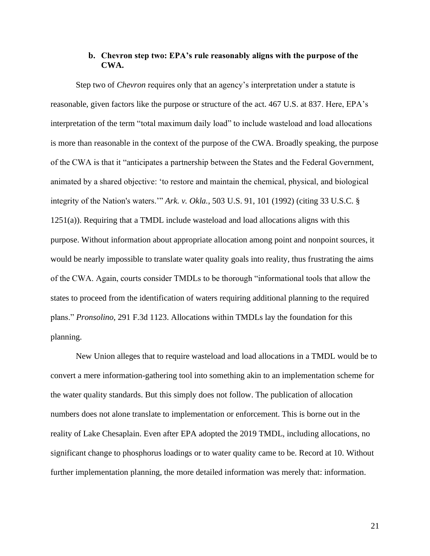## **b. Chevron step two: EPA's rule reasonably aligns with the purpose of the CWA.**

<span id="page-26-0"></span>Step two of *Chevron* requires only that an agency's interpretation under a statute is reasonable, given factors like the purpose or structure of the act. 467 U.S. at 837. Here, EPA's interpretation of the term "total maximum daily load" to include wasteload and load allocations is more than reasonable in the context of the purpose of the CWA. Broadly speaking, the purpose of the CWA is that it "anticipates a partnership between the States and the Federal Government, animated by a shared objective: 'to restore and maintain the chemical, physical, and biological integrity of the Nation's waters.'" *Ark. v. Okla.*, 503 U.S. 91, 101 (1992) (citing 33 U.S.C. § 1251(a)). Requiring that a TMDL include wasteload and load allocations aligns with this purpose. Without information about appropriate allocation among point and nonpoint sources, it would be nearly impossible to translate water quality goals into reality, thus frustrating the aims of the CWA. Again, courts consider TMDLs to be thorough "informational tools that allow the states to proceed from the identification of waters requiring additional planning to the required plans." *Pronsolino*, 291 F.3d 1123. Allocations within TMDLs lay the foundation for this planning.

New Union alleges that to require wasteload and load allocations in a TMDL would be to convert a mere information-gathering tool into something akin to an implementation scheme for the water quality standards. But this simply does not follow. The publication of allocation numbers does not alone translate to implementation or enforcement. This is borne out in the reality of Lake Chesaplain. Even after EPA adopted the 2019 TMDL, including allocations, no significant change to phosphorus loadings or to water quality came to be. Record at 10. Without further implementation planning, the more detailed information was merely that: information.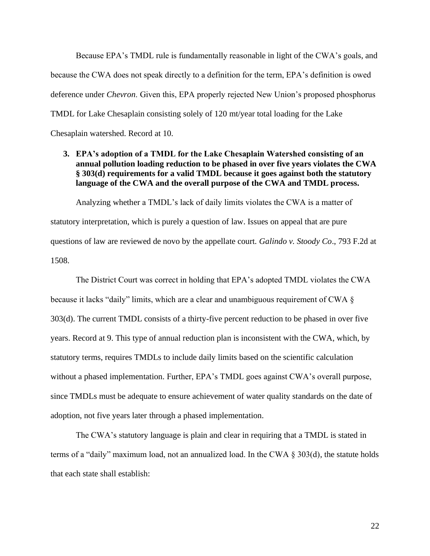Because EPA's TMDL rule is fundamentally reasonable in light of the CWA's goals, and because the CWA does not speak directly to a definition for the term, EPA's definition is owed deference under *Chevron*. Given this, EPA properly rejected New Union's proposed phosphorus TMDL for Lake Chesaplain consisting solely of 120 mt/year total loading for the Lake Chesaplain watershed. Record at 10.

# <span id="page-27-0"></span>**3. EPA's adoption of a TMDL for the Lake Chesaplain Watershed consisting of an annual pollution loading reduction to be phased in over five years violates the CWA § 303(d) requirements for a valid TMDL because it goes against both the statutory language of the CWA and the overall purpose of the CWA and TMDL process.**

Analyzing whether a TMDL's lack of daily limits violates the CWA is a matter of statutory interpretation, which is purely a question of law. Issues on appeal that are pure questions of law are reviewed de novo by the appellate court. *Galindo v. Stoody Co*., 793 F.2d at 1508.

The District Court was correct in holding that EPA's adopted TMDL violates the CWA because it lacks "daily" limits, which are a clear and unambiguous requirement of CWA § 303(d). The current TMDL consists of a thirty-five percent reduction to be phased in over five years. Record at 9. This type of annual reduction plan is inconsistent with the CWA, which, by statutory terms, requires TMDLs to include daily limits based on the scientific calculation without a phased implementation. Further, EPA's TMDL goes against CWA's overall purpose, since TMDLs must be adequate to ensure achievement of water quality standards on the date of adoption, not five years later through a phased implementation.

The CWA's statutory language is plain and clear in requiring that a TMDL is stated in terms of a "daily" maximum load, not an annualized load. In the CWA § 303(d), the statute holds that each state shall establish: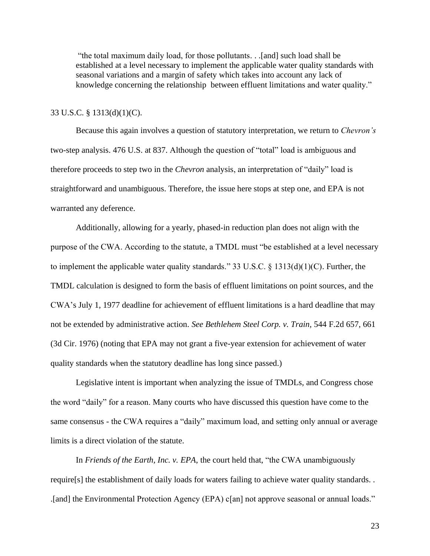"the total maximum daily load, for those pollutants. . .[and] such load shall be established at a level necessary to implement the applicable water quality standards with seasonal variations and a margin of safety which takes into account any lack of knowledge concerning the relationship between effluent limitations and water quality."

### 33 U.S.C. § 1313(d)(1)(C).

Because this again involves a question of statutory interpretation, we return to *Chevron's*  two-step analysis. 476 U.S. at 837. Although the question of "total" load is ambiguous and therefore proceeds to step two in the *Chevron* analysis, an interpretation of "daily" load is straightforward and unambiguous. Therefore, the issue here stops at step one, and EPA is not warranted any deference.

Additionally, allowing for a yearly, phased-in reduction plan does not align with the purpose of the CWA. According to the statute, a TMDL must "be established at a level necessary to implement the applicable water quality standards." 33 U.S.C. § 1313(d)(1)(C). Further, the TMDL calculation is designed to form the basis of effluent limitations on point sources, and the CWA's July 1, 1977 deadline for achievement of effluent limitations is a hard deadline that may not be extended by administrative action. *See Bethlehem Steel Corp. v. Train,* 544 F.2d 657, 661 (3d Cir. 1976) (noting that EPA may not grant a five-year extension for achievement of water quality standards when the statutory deadline has long since passed.)

Legislative intent is important when analyzing the issue of TMDLs, and Congress chose the word "daily" for a reason. Many courts who have discussed this question have come to the same consensus - the CWA requires a "daily" maximum load, and setting only annual or average limits is a direct violation of the statute.

In *Friends of the Earth, Inc. v. EPA*, the court held that, "the CWA unambiguously require[s] the establishment of daily loads for waters failing to achieve water quality standards. . .[and] the Environmental Protection Agency (EPA) c[an] not approve seasonal or annual loads."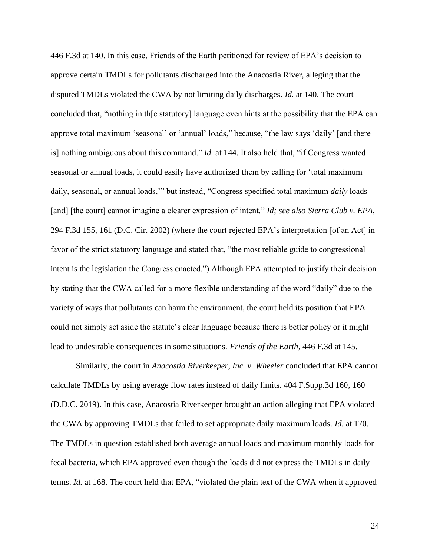446 F.3d at 140. In this case, Friends of the Earth petitioned for review of EPA's decision to approve certain TMDLs for pollutants discharged into the Anacostia River, alleging that the disputed TMDLs violated the CWA by not limiting daily discharges. *Id.* at 140. The court concluded that, "nothing in th[e statutory] language even hints at the possibility that the EPA can approve total maximum 'seasonal' or 'annual' loads," because, "the law says 'daily' [and there is] nothing ambiguous about this command." *Id.* at 144. It also held that, "if Congress wanted seasonal or annual loads, it could easily have authorized them by calling for 'total maximum daily, seasonal, or annual loads,'" but instead, "Congress specified total maximum *daily* loads [and] [the court] cannot imagine a clearer expression of intent." *Id; see also Sierra Club v. EPA*, 294 F.3d 155, 161 (D.C. Cir. 2002) (where the court rejected EPA's interpretation [of an Act] in favor of the strict statutory language and stated that, "the most reliable guide to congressional intent is the legislation the Congress enacted.") Although EPA attempted to justify their decision by stating that the CWA called for a more flexible understanding of the word "daily" due to the variety of ways that pollutants can harm the environment, the court held its position that EPA could not simply set aside the statute's clear language because there is better policy or it might lead to undesirable consequences in some situations. *Friends of the Earth*, 446 F.3d at 145.

Similarly, the court in *Anacostia Riverkeeper, Inc. v. Wheeler* concluded that EPA cannot calculate TMDLs by using average flow rates instead of daily limits. 404 F.Supp.3d 160, 160 (D.D.C. 2019). In this case, Anacostia Riverkeeper brought an action alleging that EPA violated the CWA by approving TMDLs that failed to set appropriate daily maximum loads. *Id.* at 170. The TMDLs in question established both average annual loads and maximum monthly loads for fecal bacteria, which EPA approved even though the loads did not express the TMDLs in daily terms. *Id.* at 168. The court held that EPA, "violated the plain text of the CWA when it approved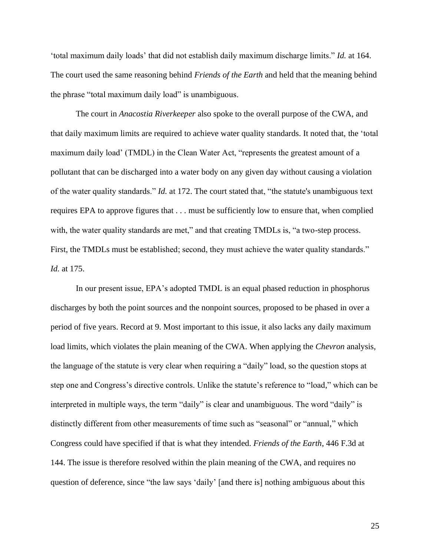'total maximum daily loads' that did not establish daily maximum discharge limits." *Id.* at 164. The court used the same reasoning behind *Friends of the Earth* and held that the meaning behind the phrase "total maximum daily load" is unambiguous.

The court in *Anacostia Riverkeeper* also spoke to the overall purpose of the CWA, and that daily maximum limits are required to achieve water quality standards. It noted that, the 'total maximum daily load' (TMDL) in the Clean Water Act, "represents the greatest amount of a pollutant that can be discharged into a water body on any given day without causing a violation of the water quality standards." *Id.* at 172. The court stated that, "the statute's unambiguous text requires EPA to approve figures that . . . must be sufficiently low to ensure that, when complied with, the water quality standards are met," and that creating TMDLs is, "a two-step process. First, the TMDLs must be established; second, they must achieve the water quality standards." *Id.* at 175.

In our present issue, EPA's adopted TMDL is an equal phased reduction in phosphorus discharges by both the point sources and the nonpoint sources, proposed to be phased in over a period of five years. Record at 9. Most important to this issue, it also lacks any daily maximum load limits, which violates the plain meaning of the CWA. When applying the *Chevron* analysis, the language of the statute is very clear when requiring a "daily" load, so the question stops at step one and Congress's directive controls. Unlike the statute's reference to "load," which can be interpreted in multiple ways, the term "daily" is clear and unambiguous. The word "daily" is distinctly different from other measurements of time such as "seasonal" or "annual," which Congress could have specified if that is what they intended. *Friends of the Earth*, 446 F.3d at 144. The issue is therefore resolved within the plain meaning of the CWA, and requires no question of deference, since "the law says 'daily' [and there is] nothing ambiguous about this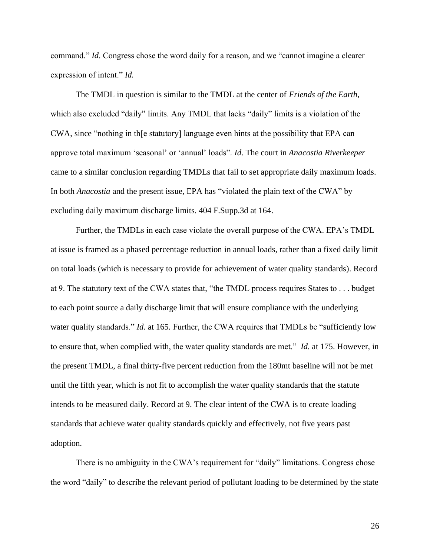command." *Id*. Congress chose the word daily for a reason, and we "cannot imagine a clearer expression of intent." *Id.*

The TMDL in question is similar to the TMDL at the center of *Friends of the Earth*, which also excluded "daily" limits. Any TMDL that lacks "daily" limits is a violation of the CWA, since "nothing in th[e statutory] language even hints at the possibility that EPA can approve total maximum 'seasonal' or 'annual' loads". *Id*. The court in *Anacostia Riverkeeper*  came to a similar conclusion regarding TMDLs that fail to set appropriate daily maximum loads. In both *Anacostia* and the present issue, EPA has "violated the plain text of the CWA" by excluding daily maximum discharge limits. 404 F.Supp.3d at 164.

Further, the TMDLs in each case violate the overall purpose of the CWA. EPA's TMDL at issue is framed as a phased percentage reduction in annual loads, rather than a fixed daily limit on total loads (which is necessary to provide for achievement of water quality standards). Record at 9. The statutory text of the CWA states that, "the TMDL process requires States to . . . budget to each point source a daily discharge limit that will ensure compliance with the underlying water quality standards." *Id.* at 165. Further, the CWA requires that TMDLs be "sufficiently low to ensure that, when complied with, the water quality standards are met." *Id.* at 175. However, in the present TMDL, a final thirty-five percent reduction from the 180mt baseline will not be met until the fifth year, which is not fit to accomplish the water quality standards that the statute intends to be measured daily. Record at 9. The clear intent of the CWA is to create loading standards that achieve water quality standards quickly and effectively, not five years past adoption.

There is no ambiguity in the CWA's requirement for "daily" limitations. Congress chose the word "daily" to describe the relevant period of pollutant loading to be determined by the state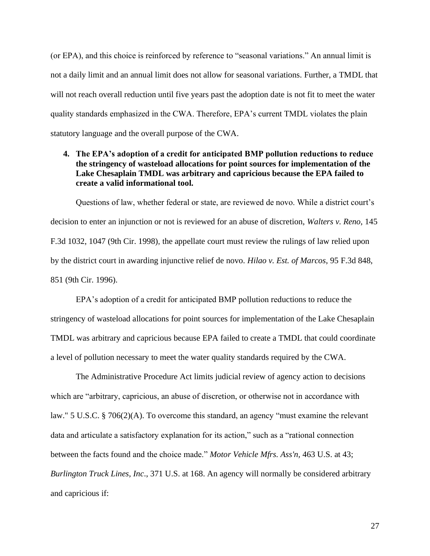(or EPA), and this choice is reinforced by reference to "seasonal variations." An annual limit is not a daily limit and an annual limit does not allow for seasonal variations. Further, a TMDL that will not reach overall reduction until five years past the adoption date is not fit to meet the water quality standards emphasized in the CWA. Therefore, EPA's current TMDL violates the plain statutory language and the overall purpose of the CWA.

# <span id="page-32-0"></span>**4. The EPA's adoption of a credit for anticipated BMP pollution reductions to reduce the stringency of wasteload allocations for point sources for implementation of the Lake Chesaplain TMDL was arbitrary and capricious because the EPA failed to create a valid informational tool.**

Questions of law, whether federal or state, are reviewed de novo. While a district court's decision to enter an injunction or not is reviewed for an abuse of discretion, *Walters v. Reno*, 145 F.3d 1032, 1047 (9th Cir. 1998), the appellate court must review the rulings of law relied upon by the district court in awarding injunctive relief de novo*. Hilao v. Est. of Marcos*, 95 F.3d 848, 851 (9th Cir. 1996).

EPA's adoption of a credit for anticipated BMP pollution reductions to reduce the stringency of wasteload allocations for point sources for implementation of the Lake Chesaplain TMDL was arbitrary and capricious because EPA failed to create a TMDL that could coordinate a level of pollution necessary to meet the water quality standards required by the CWA.

The Administrative Procedure Act limits judicial review of agency action to decisions which are "arbitrary, capricious, an abuse of discretion, or otherwise not in accordance with law." 5 U.S.C. § 706(2)(A). To overcome this standard, an agency "must examine the relevant data and articulate a satisfactory explanation for its action," such as a "rational connection between the facts found and the choice made." *Motor Vehicle Mfrs. Ass'n,* 463 U.S. at 43; *Burlington Truck Lines, Inc*., 371 U.S. at 168. An agency will normally be considered arbitrary and capricious if: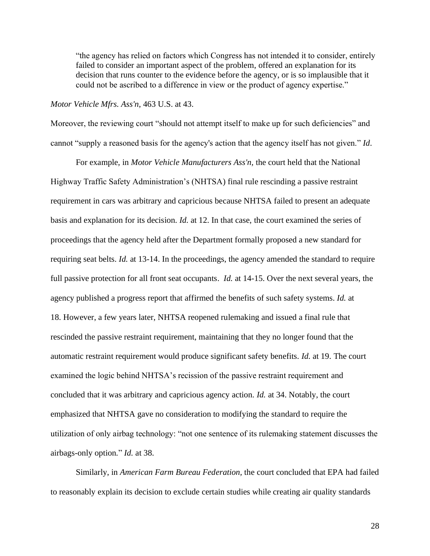"the agency has relied on factors which Congress has not intended it to consider, entirely failed to consider an important aspect of the problem, offered an explanation for its decision that runs counter to the evidence before the agency, or is so implausible that it could not be ascribed to a difference in view or the product of agency expertise."

## *Motor Vehicle Mfrs. Ass'n*, 463 U.S. at 43.

Moreover, the reviewing court "should not attempt itself to make up for such deficiencies" and cannot "supply a reasoned basis for the agency's action that the agency itself has not given." *Id*.

For example, in *Motor Vehicle Manufacturers Ass'n,* the court held that the National Highway Traffic Safety Administration's (NHTSA) final rule rescinding a passive restraint requirement in cars was arbitrary and capricious because NHTSA failed to present an adequate basis and explanation for its decision. *Id.* at 12. In that case, the court examined the series of proceedings that the agency held after the Department formally proposed a new standard for requiring seat belts. *Id.* at 13-14. In the proceedings, the agency amended the standard to require full passive protection for all front seat occupants. *Id.* at 14-15. Over the next several years, the agency published a progress report that affirmed the benefits of such safety systems. *Id.* at 18. However, a few years later, NHTSA reopened rulemaking and issued a final rule that rescinded the passive restraint requirement, maintaining that they no longer found that the automatic restraint requirement would produce significant safety benefits. *Id.* at 19. The court examined the logic behind NHTSA's recission of the passive restraint requirement and concluded that it was arbitrary and capricious agency action. *Id.* at 34. Notably, the court emphasized that NHTSA gave no consideration to modifying the standard to require the utilization of only airbag technology: "not one sentence of its rulemaking statement discusses the airbags-only option*.*" *Id.* at 38.

Similarly, in *American Farm Bureau Federation,* the court concluded that EPA had failed to reasonably explain its decision to exclude certain studies while creating air quality standards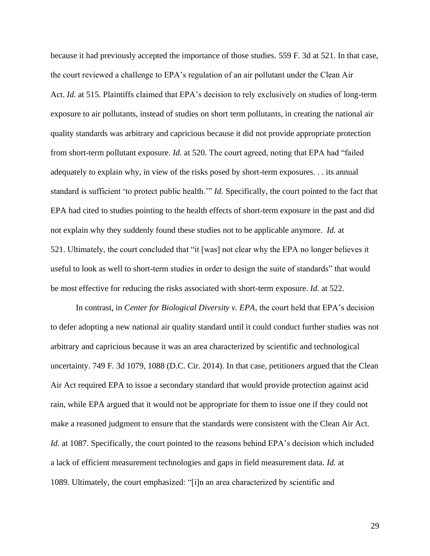because it had previously accepted the importance of those studies. 559 F. 3d at 521. In that case, the court reviewed a challenge to EPA's regulation of an air pollutant under the Clean Air Act. *Id.* at 515. Plaintiffs claimed that EPA's decision to rely exclusively on studies of long-term exposure to air pollutants, instead of studies on short term pollutants, in creating the national air quality standards was arbitrary and capricious because it did not provide appropriate protection from short-term pollutant exposure. *Id.* at 520. The court agreed, noting that EPA had "failed adequately to explain why, in view of the risks posed by short-term exposures. . . its annual standard is sufficient 'to protect public health.'" *Id.* Specifically, the court pointed to the fact that EPA had cited to studies pointing to the health effects of short-term exposure in the past and did not explain why they suddenly found these studies not to be applicable anymore. *Id.* at 521. Ultimately, the court concluded that "it [was] not clear why the EPA no longer believes it useful to look as well to short-term studies in order to design the suite of standards" that would be most effective for reducing the risks associated with short-term exposure. *Id.* at 522.

In contrast, in *Center for Biological Diversity v. EPA*, the court held that EPA's decision to defer adopting a new national air quality standard until it could conduct further studies was not arbitrary and capricious because it was an area characterized by scientific and technological uncertainty. 749 F. 3d 1079, 1088 (D.C. Cir. 2014). In that case, petitioners argued that the Clean Air Act required EPA to issue a secondary standard that would provide protection against acid rain, while EPA argued that it would not be appropriate for them to issue one if they could not make a reasoned judgment to ensure that the standards were consistent with the Clean Air Act. *Id.* at 1087. Specifically, the court pointed to the reasons behind EPA's decision which included a lack of efficient measurement technologies and gaps in field measurement data. *Id.* at 1089. Ultimately, the court emphasized: "[i]n an area characterized by scientific and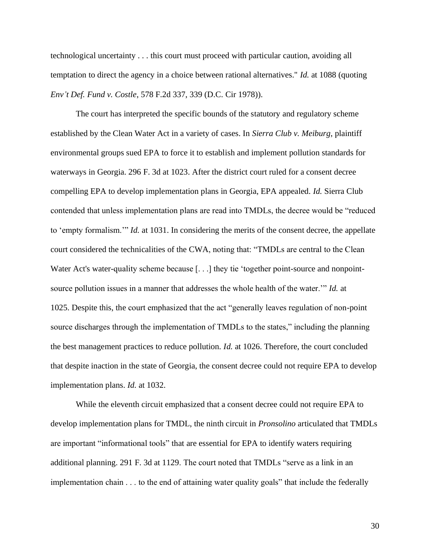technological uncertainty . . . this court must proceed with particular caution, avoiding all temptation to direct the agency in a choice between rational alternatives." *Id.* at 1088 (quoting *Env't Def. Fund v. Costle*, 578 F.2d 337, 339 (D.C. Cir 1978)).

The court has interpreted the specific bounds of the statutory and regulatory scheme established by the Clean Water Act in a variety of cases. In *Sierra Club v. Meiburg*, plaintiff environmental groups sued EPA to force it to establish and implement pollution standards for waterways in Georgia. 296 F. 3d at 1023. After the district court ruled for a consent decree compelling EPA to develop implementation plans in Georgia, EPA appealed. *Id.* Sierra Club contended that unless implementation plans are read into TMDLs, the decree would be "reduced to 'empty formalism.'" *Id.* at 1031. In considering the merits of the consent decree, the appellate court considered the technicalities of the CWA, noting that: "TMDLs are central to the Clean Water Act's water-quality scheme because [...] they tie 'together point-source and nonpointsource pollution issues in a manner that addresses the whole health of the water.'" *Id.* at 1025. Despite this, the court emphasized that the act "generally leaves regulation of non-point source discharges through the implementation of TMDLs to the states," including the planning the best management practices to reduce pollution. *Id.* at 1026. Therefore, the court concluded that despite inaction in the state of Georgia, the consent decree could not require EPA to develop implementation plans. *Id.* at 1032.

While the eleventh circuit emphasized that a consent decree could not require EPA to develop implementation plans for TMDL, the ninth circuit in *Pronsolino* articulated that TMDLs are important "informational tools" that are essential for EPA to identify waters requiring additional planning. 291 F. 3d at 1129. The court noted that TMDLs "serve as a link in an implementation chain . . . to the end of attaining water quality goals" that include the federally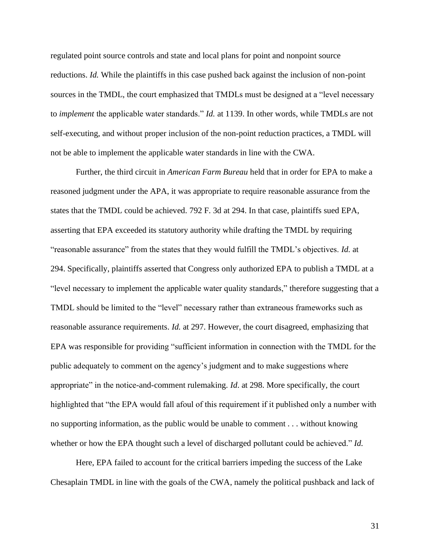regulated point source controls and state and local plans for point and nonpoint source reductions. *Id.* While the plaintiffs in this case pushed back against the inclusion of non-point sources in the TMDL, the court emphasized that TMDLs must be designed at a "level necessary to *implement* the applicable water standards." *Id.* at 1139. In other words, while TMDLs are not self-executing, and without proper inclusion of the non-point reduction practices, a TMDL will not be able to implement the applicable water standards in line with the CWA.

Further, the third circuit in *American Farm Bureau* held that in order for EPA to make a reasoned judgment under the APA, it was appropriate to require reasonable assurance from the states that the TMDL could be achieved. 792 F. 3d at 294. In that case, plaintiffs sued EPA, asserting that EPA exceeded its statutory authority while drafting the TMDL by requiring "reasonable assurance" from the states that they would fulfill the TMDL's objectives. *Id.* at 294. Specifically, plaintiffs asserted that Congress only authorized EPA to publish a TMDL at a "level necessary to implement the applicable water quality standards," therefore suggesting that a TMDL should be limited to the "level" necessary rather than extraneous frameworks such as reasonable assurance requirements. *Id.* at 297. However, the court disagreed, emphasizing that EPA was responsible for providing "sufficient information in connection with the TMDL for the public adequately to comment on the agency's judgment and to make suggestions where appropriate" in the notice-and-comment rulemaking. *Id*. at 298. More specifically, the court highlighted that "the EPA would fall afoul of this requirement if it published only a number with no supporting information, as the public would be unable to comment . . . without knowing whether or how the EPA thought such a level of discharged pollutant could be achieved." *Id.*

Here, EPA failed to account for the critical barriers impeding the success of the Lake Chesaplain TMDL in line with the goals of the CWA, namely the political pushback and lack of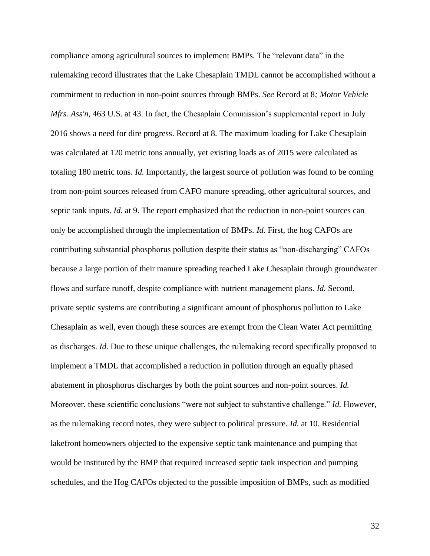compliance among agricultural sources to implement BMPs. The "relevant data" in the rulemaking record illustrates that the Lake Chesaplain TMDL cannot be accomplished without a commitment to reduction in non-point sources through BMPs. *See* Record at 8*; Motor Vehicle Mfrs. Ass'n,* 463 U.S. at 43. In fact, the Chesaplain Commission's supplemental report in July 2016 shows a need for dire progress. Record at 8. The maximum loading for Lake Chesaplain was calculated at 120 metric tons annually, yet existing loads as of 2015 were calculated as totaling 180 metric tons. *Id.* Importantly, the largest source of pollution was found to be coming from non-point sources released from CAFO manure spreading, other agricultural sources, and septic tank inputs. *Id.* at 9. The report emphasized that the reduction in non-point sources can only be accomplished through the implementation of BMPs. *Id.* First, the hog CAFOs are contributing substantial phosphorus pollution despite their status as "non-discharging" CAFOs because a large portion of their manure spreading reached Lake Chesaplain through groundwater flows and surface runoff, despite compliance with nutrient management plans. *Id.* Second, private septic systems are contributing a significant amount of phosphorus pollution to Lake Chesaplain as well, even though these sources are exempt from the Clean Water Act permitting as discharges. *Id.* Due to these unique challenges, the rulemaking record specifically proposed to implement a TMDL that accomplished a reduction in pollution through an equally phased abatement in phosphorus discharges by both the point sources and non-point sources. *Id.*  Moreover, these scientific conclusions "were not subject to substantive challenge." *Id.* However, as the rulemaking record notes, they were subject to political pressure. *Id.* at 10. Residential lakefront homeowners objected to the expensive septic tank maintenance and pumping that would be instituted by the BMP that required increased septic tank inspection and pumping schedules, and the Hog CAFOs objected to the possible imposition of BMPs, such as modified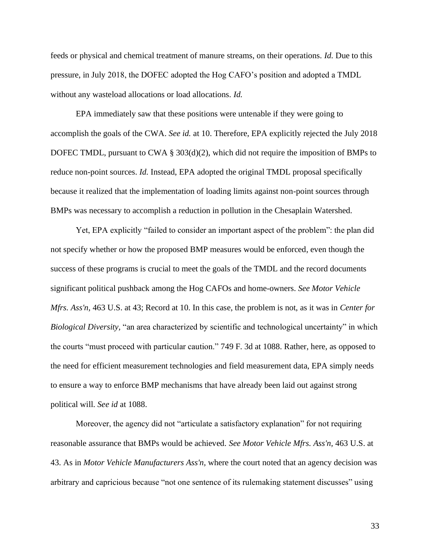feeds or physical and chemical treatment of manure streams, on their operations. *Id.* Due to this pressure, in July 2018, the DOFEC adopted the Hog CAFO's position and adopted a TMDL without any wasteload allocations or load allocations. *Id.*

EPA immediately saw that these positions were untenable if they were going to accomplish the goals of the CWA. *See id.* at 10. Therefore, EPA explicitly rejected the July 2018 DOFEC TMDL, pursuant to CWA § 303(d)(2), which did not require the imposition of BMPs to reduce non-point sources. *Id.* Instead, EPA adopted the original TMDL proposal specifically because it realized that the implementation of loading limits against non-point sources through BMPs was necessary to accomplish a reduction in pollution in the Chesaplain Watershed.

Yet, EPA explicitly "failed to consider an important aspect of the problem": the plan did not specify whether or how the proposed BMP measures would be enforced, even though the success of these programs is crucial to meet the goals of the TMDL and the record documents significant political pushback among the Hog CAFOs and home-owners. *See Motor Vehicle Mfrs. Ass'n,* 463 U.S. at 43; Record at 10. In this case, the problem is not, as it was in *Center for Biological Diversity,* "an area characterized by scientific and technological uncertainty" in which the courts "must proceed with particular caution." 749 F. 3d at 1088. Rather, here, as opposed to the need for efficient measurement technologies and field measurement data, EPA simply needs to ensure a way to enforce BMP mechanisms that have already been laid out against strong political will. *See id* at 1088.

Moreover, the agency did not "articulate a satisfactory explanation" for not requiring reasonable assurance that BMPs would be achieved. *See Motor Vehicle Mfrs. Ass'n,* 463 U.S. at 43. As in *Motor Vehicle Manufacturers Ass'n,* where the court noted that an agency decision was arbitrary and capricious because "not one sentence of its rulemaking statement discusses" using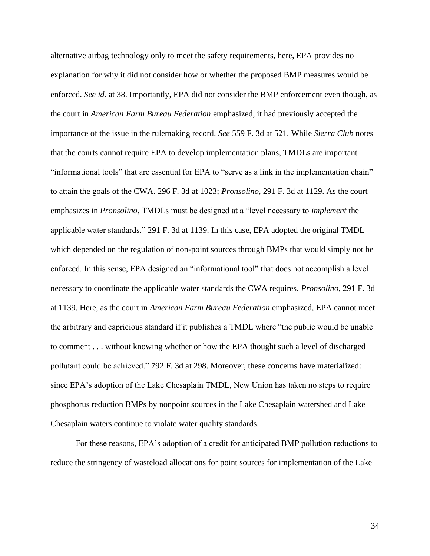alternative airbag technology only to meet the safety requirements, here, EPA provides no explanation for why it did not consider how or whether the proposed BMP measures would be enforced. *See id.* at 38. Importantly, EPA did not consider the BMP enforcement even though, as the court in *American Farm Bureau Federation* emphasized, it had previously accepted the importance of the issue in the rulemaking record. *See* 559 F. 3d at 521. While *Sierra Club* notes that the courts cannot require EPA to develop implementation plans, TMDLs are important "informational tools" that are essential for EPA to "serve as a link in the implementation chain" to attain the goals of the CWA. 296 F. 3d at 1023; *Pronsolino,* 291 F. 3d at 1129. As the court emphasizes in *Pronsolino*, TMDLs must be designed at a "level necessary to *implement* the applicable water standards." 291 F. 3d at 1139. In this case, EPA adopted the original TMDL which depended on the regulation of non-point sources through BMPs that would simply not be enforced. In this sense, EPA designed an "informational tool" that does not accomplish a level necessary to coordinate the applicable water standards the CWA requires. *Pronsolino*, 291 F. 3d at 1139. Here, as the court in *American Farm Bureau Federation* emphasized, EPA cannot meet the arbitrary and capricious standard if it publishes a TMDL where "the public would be unable to comment . . . without knowing whether or how the EPA thought such a level of discharged pollutant could be achieved." 792 F. 3d at 298. Moreover, these concerns have materialized: since EPA's adoption of the Lake Chesaplain TMDL, New Union has taken no steps to require phosphorus reduction BMPs by nonpoint sources in the Lake Chesaplain watershed and Lake Chesaplain waters continue to violate water quality standards.

For these reasons, EPA's adoption of a credit for anticipated BMP pollution reductions to reduce the stringency of wasteload allocations for point sources for implementation of the Lake